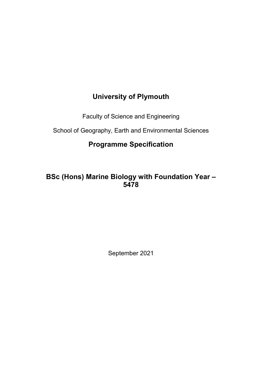# **University of Plymouth**

Faculty of Science and Engineering

School of Geography, Earth and Environmental Sciences

# **Programme Specification**

# **BSc (Hons) Marine Biology with Foundation Year – 5478**

September 2021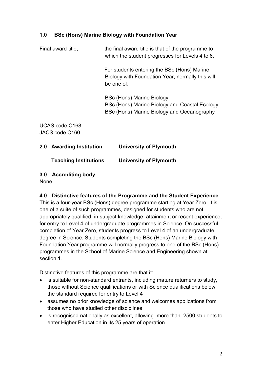## **1.0 BSc (Hons) Marine Biology with Foundation Year**

Final award title; the final award title is that of the programme to which the student progresses for Levels 4 to 6.

> For students entering the BSc (Hons) Marine Biology with Foundation Year, normally this will be one of:

BSc (Hons) Marine Biology BSc (Hons) Marine Biology and Coastal Ecology BSc (Hons) Marine Biology and Oceanography

UCAS code C168 JACS code C160

| 2.0 Awarding Institution     | <b>University of Plymouth</b> |
|------------------------------|-------------------------------|
| <b>Teaching Institutions</b> | <b>University of Plymouth</b> |

**3.0 Accrediting body** 

None

#### **4.0 Distinctive features of the Programme and the Student Experience**

This is a four-year BSc (Hons) degree programme starting at Year Zero. It is one of a suite of such programmes, designed for students who are not appropriately qualified, in subject knowledge, attainment or recent experience, for entry to Level 4 of undergraduate programmes in Science. On successful completion of Year Zero, students progress to Level 4 of an undergraduate degree in Science. Students completing the BSc (Hons) Marine Biology with Foundation Year programme will normally progress to one of the BSc (Hons) programmes in the School of Marine Science and Engineering shown at section 1.

Distinctive features of this programme are that it:

- is suitable for non-standard entrants, including mature returners to study, those without Science qualifications or with Science qualifications below the standard required for entry to Level 4
- assumes no prior knowledge of science and welcomes applications from those who have studied other disciplines.
- is recognised nationally as excellent, allowing more than 2500 students to enter Higher Education in its 25 years of operation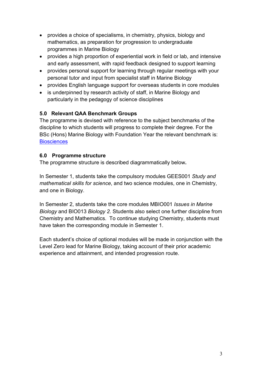- provides a choice of specialisms, in chemistry, physics, biology and mathematics, as preparation for progression to undergraduate programmes in Marine Biology
- provides a high proportion of experiential work in field or lab, and intensive and early assessment, with rapid feedback designed to support learning
- provides personal support for learning through regular meetings with your personal tutor and input from specialist staff in Marine Biology
- provides English language support for overseas students in core modules
- is underpinned by research activity of staff, in Marine Biology and particularly in the pedagogy of science disciplines

## **5.0 Relevant QAA Benchmark Groups**

The programme is devised with reference to the subject benchmarks of the discipline to which students will progress to complete their degree. For the BSc (Hons) Marine Biology with Foundation Year the relevant benchmark is: **Biosciences** 

#### **6.0 Programme structure**

The programme structure is described diagrammatically below**.** 

In Semester 1, students take the compulsory modules GEES001 *Study and mathematical skills for science*, and two science modules, one in Chemistry, and one in Biology.

In Semester 2, students take the core modules MBIO001 *Issues in Marine Biology* and BIO013 *Biology 2.* Students also select one further discipline from Chemistry and Mathematics. To continue studying Chemistry, students must have taken the corresponding module in Semester 1.

Each student's choice of optional modules will be made in conjunction with the Level Zero lead for Marine Biology, taking account of their prior academic experience and attainment, and intended progression route.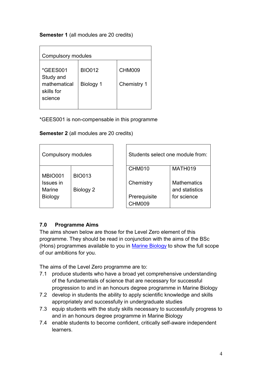#### **Semester 1** (all modules are 20 credits)

| <b>Compulsory modules</b>                                      |                            |                       |  |  |  |
|----------------------------------------------------------------|----------------------------|-----------------------|--|--|--|
| *GEES001<br>Study and<br>mathematical<br>skills for<br>science | <b>BIO012</b><br>Biology 1 | CHM009<br>Chemistry 1 |  |  |  |

\*GEES001 is non-compensable in this programme

| <b>Semester 2</b> (all modules are 20 credits) |
|------------------------------------------------|
|------------------------------------------------|

| Compulsory modules |               | Students select one module from: |                    |
|--------------------|---------------|----------------------------------|--------------------|
|                    |               | CHM010                           | MATH019            |
| <b>MBIO001</b>     | <b>BIO013</b> |                                  |                    |
| Issues in          |               | Chemistry                        | <b>Mathematics</b> |
| Marine             | Biology 2     |                                  | and statistics     |
| <b>Biology</b>     |               | Prerequisite                     | for science        |
|                    |               | <b>CHM009</b>                    |                    |

## **7.0 Programme Aims**

The aims shown below are those for the Level Zero element of this programme. They should be read in conjunction with the aims of the BSc (Hons) programmes available to you in [Marine Biology](https://www.plymouth.ac.uk/schools/school-of-marine-science-and-engineering/mse-marine-biology) to show the full scope of our ambitions for you.

The aims of the Level Zero programme are to:

- 7.1 produce students who have a broad yet comprehensive understanding of the fundamentals of science that are necessary for successful progression to and in an honours degree programme in Marine Biology
- 7.2 develop in students the ability to apply scientific knowledge and skills appropriately and successfully in undergraduate studies
- 7.3 equip students with the study skills necessary to successfully progress to and in an honours degree programme in Marine Biology
- 7.4 enable students to become confident, critically self-aware independent learners.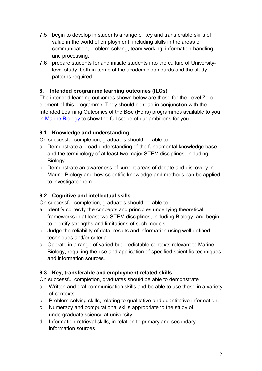- 7.5 begin to develop in students a range of key and transferable skills of value in the world of employment, including skills in the areas of communication, problem-solving, team-working, information-handling and processing.
- 7.6 prepare students for and initiate students into the culture of Universitylevel study, both in terms of the academic standards and the study patterns required.

## **8. Intended programme learning outcomes (ILOs)**

The intended learning outcomes shown below are those for the Level Zero element of this programme. They should be read in conjunction with the Intended Learning Outcomes of the BSc (Hons) programmes available to you in [Marine Biology](https://www.plymouth.ac.uk/schools/school-of-marine-science-and-engineering/mse-marine-biology) to show the full scope of our ambitions for you.

## **8.1 Knowledge and understanding**

On successful completion, graduates should be able to

- a Demonstrate a broad understanding of the fundamental knowledge base and the terminology of at least two major STEM disciplines, including **Biology**
- b Demonstrate an awareness of current areas of debate and discovery in Marine Biology and how scientific knowledge and methods can be applied to investigate them.

## **8.2 Cognitive and intellectual skills**

On successful completion, graduates should be able to

- a Identify correctly the concepts and principles underlying theoretical frameworks in at least two STEM disciplines, including Biology, and begin to identify strengths and limitations of such models
- b Judge the reliability of data, results and information using well defined techniques and/or criteria
- c Operate in a range of varied but predictable contexts relevant to Marine Biology, requiring the use and application of specified scientific techniques and information sources.

## **8.3 Key, transferable and employment-related skills**

On successful completion, graduates should be able to demonstrate

- a Written and oral communication skills and be able to use these in a variety of contexts
- b Problem-solving skills, relating to qualitative and quantitative information.
- c Numeracy and computational skills appropriate to the study of undergraduate science at university
- d Information-retrieval skills, in relation to primary and secondary information sources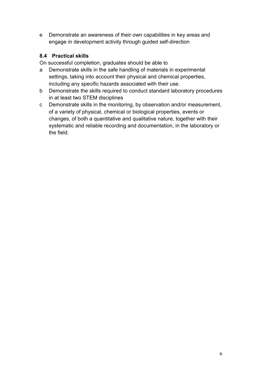e Demonstrate an awareness of their own capabilities in key areas and engage in development activity through guided self-direction

## **8.4 Practical skills**

On successful completion, graduates should be able to

- a Demonstrate skills in the safe handling of materials in experimental settings, taking into account their physical and chemical properties, including any specific hazards associated with their use.
- b Demonstrate the skills required to conduct standard laboratory procedures in at least two STEM disciplines
- c Demonstrate skills in the monitoring, by observation and/or measurement, of a variety of physical, chemical or biological properties, events or changes, of both a quantitative and qualitative nature, together with their systematic and reliable recording and documentation, in the laboratory or the field.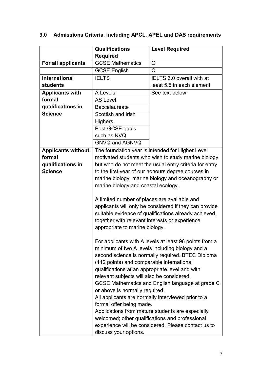|                           | <b>Qualifications</b><br><b>Level Required</b>                                                         |                                                        |  |
|---------------------------|--------------------------------------------------------------------------------------------------------|--------------------------------------------------------|--|
|                           | <b>Required</b>                                                                                        |                                                        |  |
| For all applicants        | $\mathsf C$<br><b>GCSE Mathematics</b>                                                                 |                                                        |  |
|                           | <b>GCSE English</b>                                                                                    | $\mathsf{C}$                                           |  |
| <b>International</b>      | <b>IELTS</b>                                                                                           | IELTS 6.0 overall with at                              |  |
| <b>students</b>           |                                                                                                        | least 5.5 in each element                              |  |
| <b>Applicants with</b>    | A Levels                                                                                               | See text below                                         |  |
| formal                    | <b>AS Level</b>                                                                                        |                                                        |  |
| qualifications in         | <b>Baccalaureate</b>                                                                                   |                                                        |  |
| <b>Science</b>            | Scottish and Irish                                                                                     |                                                        |  |
|                           | <b>Highers</b>                                                                                         |                                                        |  |
|                           | Post GCSE quals                                                                                        |                                                        |  |
|                           | such as NVQ                                                                                            |                                                        |  |
|                           | <b>GNVQ and AGNVQ</b>                                                                                  |                                                        |  |
| <b>Applicants without</b> | The foundation year is intended for Higher Level                                                       |                                                        |  |
| formal                    | motivated students who wish to study marine biology,                                                   |                                                        |  |
| qualifications in         |                                                                                                        | but who do not meet the usual entry criteria for entry |  |
| <b>Science</b>            | to the first year of our honours degree courses in                                                     |                                                        |  |
|                           | marine biology, marine biology and oceanography or                                                     |                                                        |  |
|                           | marine biology and coastal ecology.                                                                    |                                                        |  |
|                           |                                                                                                        |                                                        |  |
|                           | A limited number of places are available and                                                           |                                                        |  |
|                           | applicants will only be considered if they can provide                                                 |                                                        |  |
|                           | suitable evidence of qualifications already achieved,                                                  |                                                        |  |
|                           | together with relevant interests or experience                                                         |                                                        |  |
|                           | appropriate to marine biology.                                                                         |                                                        |  |
|                           |                                                                                                        |                                                        |  |
|                           | For applicants with A levels at least 96 points from a                                                 |                                                        |  |
|                           | minimum of two A levels including biology and a                                                        |                                                        |  |
|                           | second science is normally required. BTEC Diploma                                                      |                                                        |  |
|                           | (112 points) and comparable international                                                              |                                                        |  |
|                           | qualifications at an appropriate level and with                                                        |                                                        |  |
|                           | relevant subjects will also be considered.                                                             |                                                        |  |
|                           | GCSE Mathematics and English language at grade C                                                       |                                                        |  |
|                           | or above is normally required.                                                                         |                                                        |  |
|                           | All applicants are normally interviewed prior to a                                                     |                                                        |  |
|                           | formal offer being made.<br>Applications from mature students are especially                           |                                                        |  |
|                           |                                                                                                        |                                                        |  |
|                           | welcomed; other qualifications and professional<br>experience will be considered. Please contact us to |                                                        |  |
|                           | discuss your options.                                                                                  |                                                        |  |

## **9.0 Admissions Criteria, including APCL, APEL and DAS requirements**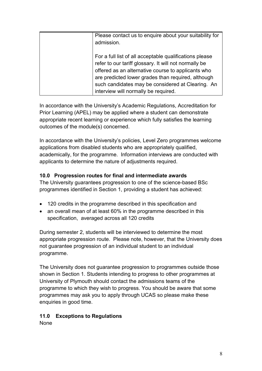| Please contact us to enquire about your suitability for<br>admission.                                                                                                                                                                                                                                                     |
|---------------------------------------------------------------------------------------------------------------------------------------------------------------------------------------------------------------------------------------------------------------------------------------------------------------------------|
| For a full list of all acceptable qualifications please<br>refer to our tariff glossary. It will not normally be<br>offered as an alternative course to applicants who<br>are predicted lower grades than required, although<br>such candidates may be considered at Clearing. An<br>interview will normally be required. |

In accordance with the University's Academic Regulations, Accreditation for Prior Learning (APEL) may be applied where a student can demonstrate appropriate recent learning or experience which fully satisfies the learning outcomes of the module(s) concerned.

In accordance with the University's policies, Level Zero programmes welcome applications from disabled students who are appropriately qualified, academically, for the programme. Information interviews are conducted with applicants to determine the nature of adjustments required.

## **10.0 Progression routes for final and intermediate awards**

The University guarantees progression to one of the science-based BSc programmes identified in Section 1, providing a student has achieved:

- 120 credits in the programme described in this specification and
- an overall mean of at least 60% in the programme described in this specification, averaged across all 120 credits

During semester 2, students will be interviewed to determine the most appropriate progression route. Please note, however, that the University does not guarantee progression of an individual student to an individual programme.

The University does not guarantee progression to programmes outside those shown in Section 1. Students intending to progress to other programmes at University of Plymouth should contact the admissions teams of the programme to which they wish to progress. You should be aware that some programmes may ask you to apply through UCAS so please make these enquiries in good time.

## **11.0 Exceptions to Regulations**

None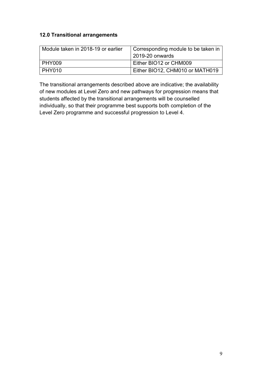#### **12.0 Transitional arrangements**

| Module taken in 2018-19 or earlier | Corresponding module to be taken in<br>2019-20 onwards |
|------------------------------------|--------------------------------------------------------|
| PHY009                             | Either BIO12 or CHM009                                 |
| <b>PHY010</b>                      | Either BIO12, CHM010 or MATH019                        |

The transitional arrangements described above are indicative; the availability of new modules at Level Zero and new pathways for progression means that students affected by the transitional arrangements will be counselled individually, so that their programme best supports both completion of the Level Zero programme and successful progression to Level 4.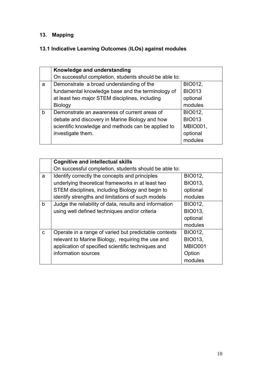## **13. Mapping**

## **13.1 Indicative Learning Outcomes** (**ILOs) against modules**

|   | Knowledge and understanding                           |                 |
|---|-------------------------------------------------------|-----------------|
|   |                                                       |                 |
|   | On successful completion, students should be able to: |                 |
| a | Demonstrate a broad understanding of the              | <b>BIO012,</b>  |
|   | fundamental knowledge base and the terminology of     | <b>BIO013</b>   |
|   | at least two major STEM disciplines, including        | optional        |
|   | <b>Biology</b>                                        | modules         |
| b | Demonstrate an awareness of current areas of          | <b>BIO012,</b>  |
|   | debate and discovery in Marine Biology and how        | <b>BIO013</b>   |
|   | scientific knowledge and methods can be applied to    | <b>MBIO001,</b> |
|   | investigate them.                                     | optional        |
|   |                                                       | modules         |

|              | <b>Cognitive and intellectual skills</b>               |                |
|--------------|--------------------------------------------------------|----------------|
|              | On successful completion, students should be able to:  |                |
| a            | Identify correctly the concepts and principles         | <b>BIO012,</b> |
|              | underlying theoretical frameworks in at least two      | <b>BIO013,</b> |
|              | STEM disciplines, including Biology and begin to       | optional       |
|              | identify strengths and limitations of such models      | modules        |
| $\mathbf b$  | Judge the reliability of data, results and information | BIO012,        |
|              | using well defined techniques and/or criteria          | <b>BIO013,</b> |
|              |                                                        | optional       |
|              |                                                        | modules        |
| $\mathbf{C}$ | Operate in a range of varied but predictable contexts  | BIO012,        |
|              | relevant to Marine Biology, requiring the use and      | <b>BIO013,</b> |
|              | application of specified scientific techniques and     | <b>MBIO001</b> |
|              | information sources                                    | Option         |
|              |                                                        | modules        |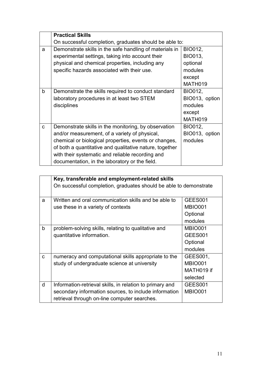|   | <b>Practical Skills</b>                                 |                |
|---|---------------------------------------------------------|----------------|
|   | On successful completion, graduates should be able to:  |                |
| a | Demonstrate skills in the safe handling of materials in | BIO012,        |
|   | experimental settings, taking into account their        | <b>BIO013,</b> |
|   | physical and chemical properties, including any         | optional       |
|   | specific hazards associated with their use.             | modules        |
|   |                                                         | except         |
|   |                                                         | MATH019        |
| b | Demonstrate the skills required to conduct standard     | BIO012,        |
|   | laboratory procedures in at least two STEM              | BIO013, option |
|   | disciplines                                             | modules        |
|   |                                                         | except         |
|   |                                                         | MATH019        |
| C | Demonstrate skills in the monitoring, by observation    | BIO012,        |
|   | and/or measurement, of a variety of physical,           | BIO013, option |
|   | chemical or biological properties, events or changes,   | modules        |
|   | of both a quantitative and qualitative nature, together |                |
|   | with their systematic and reliable recording and        |                |
|   | documentation, in the laboratory or the field.          |                |

|              | Key, transferable and employment-related skills                   |                |  |
|--------------|-------------------------------------------------------------------|----------------|--|
|              | On successful completion, graduates should be able to demonstrate |                |  |
| a            | Written and oral communication skills and be able to              | GEES001        |  |
|              | use these in a variety of contexts                                | <b>MBIO001</b> |  |
|              |                                                                   | Optional       |  |
|              |                                                                   | modules        |  |
| $\mathsf b$  | problem-solving skills, relating to qualitative and               | <b>MBIO001</b> |  |
|              | quantitative information.                                         | GEES001        |  |
|              |                                                                   | Optional       |  |
|              |                                                                   | modules        |  |
| $\mathbf{C}$ | numeracy and computational skills appropriate to the              | GEES001,       |  |
|              | study of undergraduate science at university                      | <b>MBIO001</b> |  |
|              |                                                                   | MATH019 if     |  |
|              |                                                                   | selected       |  |
| d            | Information-retrieval skills, in relation to primary and          | GEES001        |  |
|              | secondary information sources, to include information             | <b>MBIO001</b> |  |
|              | retrieval through on-line computer searches.                      |                |  |